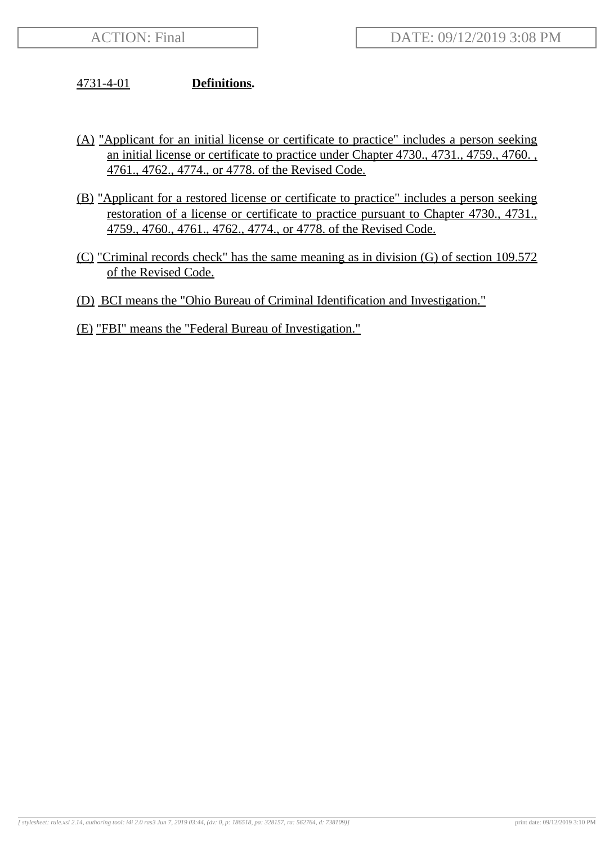## 4731-4-01 **Definitions.**

- (A) "Applicant for an initial license or certificate to practice" includes a person seeking an initial license or certificate to practice under Chapter 4730., 4731., 4759., 4760. , 4761., 4762., 4774., or 4778. of the Revised Code.
- (B) "Applicant for a restored license or certificate to practice" includes a person seeking restoration of a license or certificate to practice pursuant to Chapter 4730., 4731., 4759., 4760., 4761., 4762., 4774., or 4778. of the Revised Code.
- (C) "Criminal records check" has the same meaning as in division (G) of section 109.572 of the Revised Code.
- (D) BCI means the "Ohio Bureau of Criminal Identification and Investigation."
- (E) "FBI" means the "Federal Bureau of Investigation."